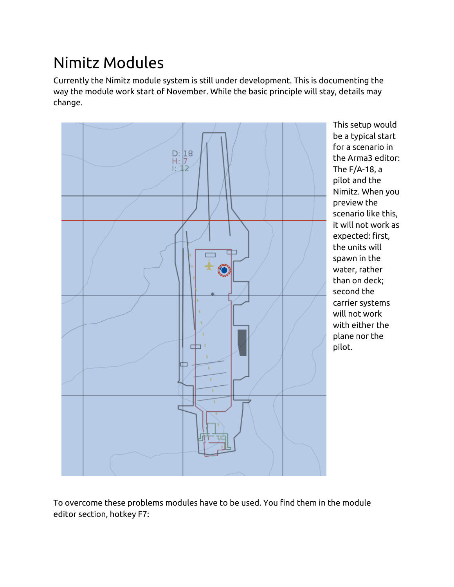## Nimitz Modules

Currently the Nimitz module system is still under development. This is documenting the way the module work start of November. While the basic principle will stay, details may change.



This setup would be a typical start for a scenario in the Arma3 editor: The F/A-18, a pilot and the Nimitz. When you preview the scenario like this, it will not work as expected: first, the units will spawn in the water, rather than on deck; second the carrier systems will not work with either the plane nor the pilot.

To overcome these problems modules have to be used. You find them in the module editor section, hotkey F7: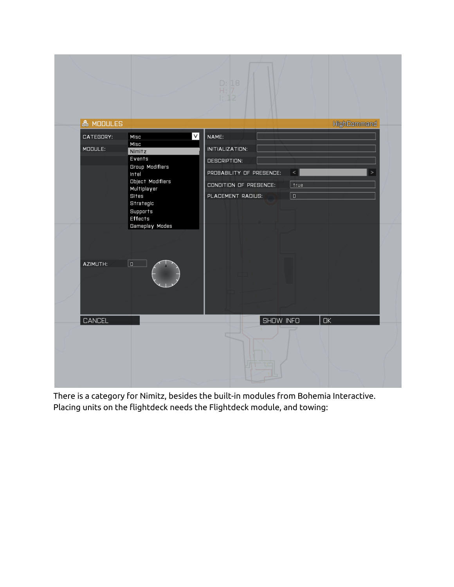

There is a category for Nimitz, besides the built-in modules from Bohemia Interactive. Placing units on the flightdeck needs the Flightdeck module, and towing: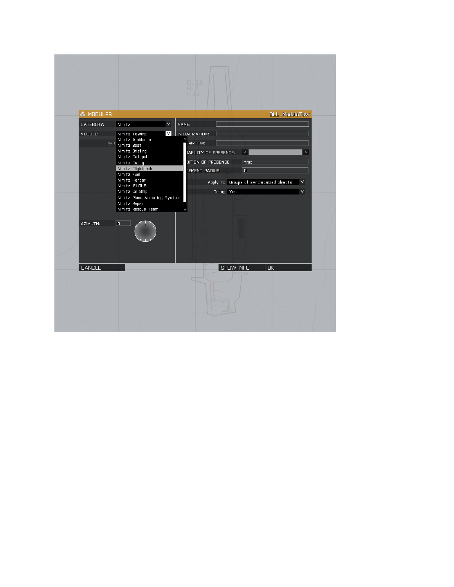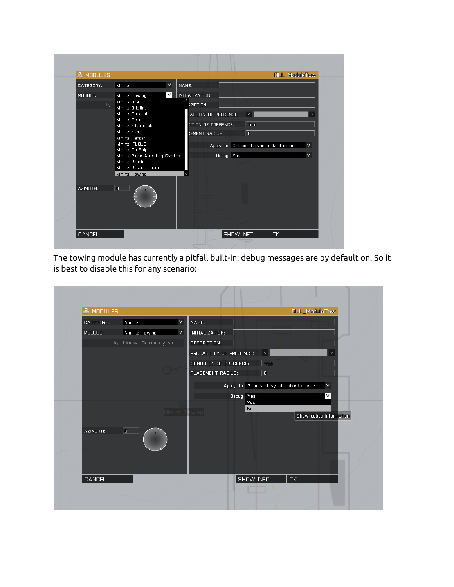| <b> &amp; MODULES</b> |                                                                                                                                                                                                                                                                           |                                                                                                                                  | DLL_ModuleTow                                                              |                       |
|-----------------------|---------------------------------------------------------------------------------------------------------------------------------------------------------------------------------------------------------------------------------------------------------------------------|----------------------------------------------------------------------------------------------------------------------------------|----------------------------------------------------------------------------|-----------------------|
| CATEGORY:             | v<br>Nimitz                                                                                                                                                                                                                                                               | NAME:                                                                                                                            |                                                                            |                       |
| MODULE:<br>by L       | V <br>Nimitz Towing<br>Nimitz Boat<br>Nimitz Briefing<br>Nimitz Catapult<br>Nimitz Debug<br>Nimitz Flightdeck<br>Nimitz Fuel<br>Nimitz Hangar<br>Nimitz IFLOLS<br>Nimitz On Ship<br>Nimitz Plane Arresting System<br>Nimitz Repair<br>Nimitz Rescue Team<br>Nimitz Towing | INITIALIZATION:<br><b>CRIPTION:</b><br>IABILITY OF PRESENCE:<br><b>JITION OF PRESENCE:</b><br><b>CEMENT RADIUS:</b><br>Debug Yes | $\,<$<br>true<br>$\overline{0}$<br>Apply to Groups of synchronized objects | $\, >$<br>v<br>$\vee$ |
| AZIMUTH:              | 0                                                                                                                                                                                                                                                                         |                                                                                                                                  |                                                                            |                       |
| CANCEL                |                                                                                                                                                                                                                                                                           | SHOW INFO                                                                                                                        | <b>OK</b>                                                                  |                       |

The towing module has currently a pitfall built-in: debug messages are by default on. So it is best to disable this for any scenario:

| 条 MODULES |                             | <b>DLL_ModuleTow</b>                              |
|-----------|-----------------------------|---------------------------------------------------|
| CATEGORY: | $\vee$<br>Nimitz            | NAME:                                             |
| MODULE:   | Nimitz Towing<br>٧          | INITIALIZATION:                                   |
|           | by Unknown Community Author | <b>DESCRIPTION:</b>                               |
|           |                             | PROBABILITY OF PRESENCE:<br>$\,<$<br>$\mathbf{v}$ |
|           |                             | CONDITION OF PRESENCE:<br>true                    |
|           |                             | PLACEMENT RADIUS:<br>$\overline{0}$               |
|           |                             | Apply to Groups of synchronized objects<br>$\vee$ |
|           |                             | $\vee$<br>Debug Yes                               |
|           |                             | Yes<br>No                                         |
|           | Nimitz                      | wing<br>Show debug information                    |
| AZIMUTH:  | $\overline{a}$              |                                                   |
|           |                             |                                                   |
|           |                             |                                                   |
| CANCEL    |                             | SHOW INFO<br>$\Box K$                             |
|           |                             |                                                   |
|           |                             |                                                   |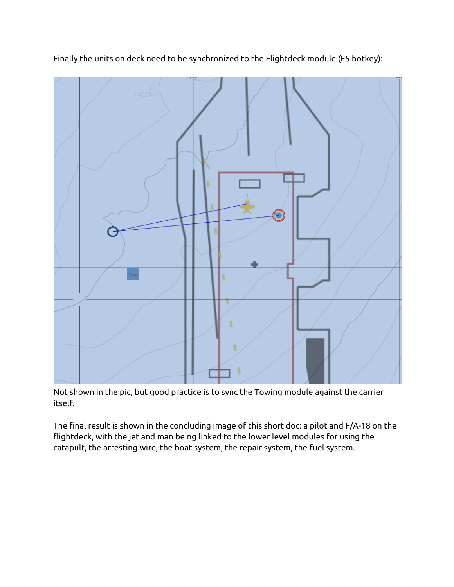

Finally the units on deck need to be synchronized to the Flightdeck module (F5 hotkey):

Not shown in the pic, but good practice is to sync the Towing module against the carrier itself.

The final result is shown in the concluding image of this short doc: a pilot and F/A-18 on the flightdeck, with the jet and man being linked to the lower level modules for using the catapult, the arresting wire, the boat system, the repair system, the fuel system.